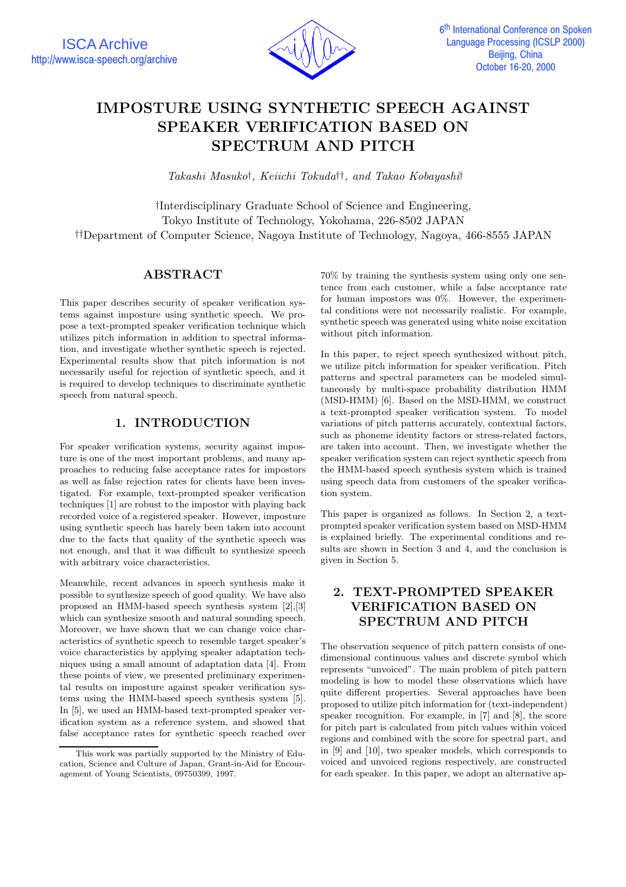

# **IMPOSTURE USING SYNTHETIC SPEECH AGAINST SPEAKER VERIFICATION BASED ON SPECTRUM AND PITCH**

*Takashi Masuko*†*, Keiichi Tokuda*††*, and Takao Kobayashi*†

†Interdisciplinary Graduate School of Science and Engineering, Tokyo Institute of Technology, Yokohama, 226-8502 JAPAN ††Department of Computer Science, Nagoya Institute of Technology, Nagoya, 466-8555 JAPAN

## **ABSTRACT**

This paper describes security of speaker verification systems against imposture using synthetic speech. We propose a text-prompted speaker verification technique which utilizes pitch information in addition to spectral information, and investigate whether synthetic speech is rejected. Experimental results show that pitch information is not necessarily useful for rejection of synthetic speech, and it is required to develop techniques to discriminate synthetic speech from natural speech.

## **1. INTRODUCTION**

For speaker verification systems, security against imposture is one of the most important problems, and many approaches to reducing false acceptance rates for impostors as well as false rejection rates for clients have been investigated. For example, text-prompted speaker verification techniques [1] are robust to the impostor with playing back recorded voice of a registered speaker. However, imposture using synthetic speech has barely been taken into account due to the facts that quality of the synthetic speech was not enough, and that it was difficult to synthesize speech with arbitrary voice characteristics.

Meanwhile, recent advances in speech synthesis make it possible to synthesize speech of good quality. We have also proposed an HMM-based speech synthesis system [2],[3] which can synthesize smooth and natural sounding speech. Moreover, we have shown that we can change voice characteristics of synthetic speech to resemble target speaker's voice characteristics by applying speaker adaptation techniques using a small amount of adaptation data [4]. From these points of view, we presented preliminary experimental results on imposture against speaker verification systems using the HMM-based speech synthesis system [5]. In [5], we used an HMM-based text-prompted speaker verification system as a reference system, and showed that false acceptance rates for synthetic speech reached over 70% by training the synthesis system using only one sentence from each customer, while a false acceptance rate for human impostors was  $0\%$ . However, the experimental conditions were not necessarily realistic. For example, synthetic speech was generated using white noise excitation without pitch information.

In this paper, to reject speech synthesized without pitch, we utilize pitch information for speaker verification. Pitch patterns and spectral parameters can be modeled simultaneously by multi-space probability distribution HMM (MSD-HMM) [6]. Based on the MSD-HMM, we construct a text-prompted speaker verification system. To model variations of pitch patterns accurately, contextual factors, such as phoneme identity factors or stress-related factors, are taken into account. Then, we investigate whether the speaker verification system can reject synthetic speech from the HMM-based speech synthesis system which is trained using speech data from customers of the speaker verification system.

This paper is organized as follows. In Section 2, a textprompted speaker verification system based on MSD-HMM is explained briefly. The experimental conditions and results are shown in Section 3 and 4, and the conclusion is given in Section 5.

## **2. TEXT-PROMPTED SPEAKER VERIFICATION BASED ON SPECTRUM AND PITCH**

The observation sequence of pitch pattern consists of onedimensional continuous values and discrete symbol which represents "unvoiced". The main problem of pitch pattern modeling is how to model these observations which have quite different properties. Several approaches have been proposed to utilize pitch information for (text-independent) speaker recognition. For example, in [7] and [8], the score for pitch part is calculated from pitch values within voiced regions and combined with the score for spectral part, and in [9] and [10], two speaker models, which corresponds to voiced and unvoiced regions respectively, are constructed for each speaker. In this paper, we adopt an alternative ap-

This work was partially supported by the Ministry of Education, Science and Culture of Japan, Grant-in-Aid for Encouragement of Young Scientists, 09750399, 1997.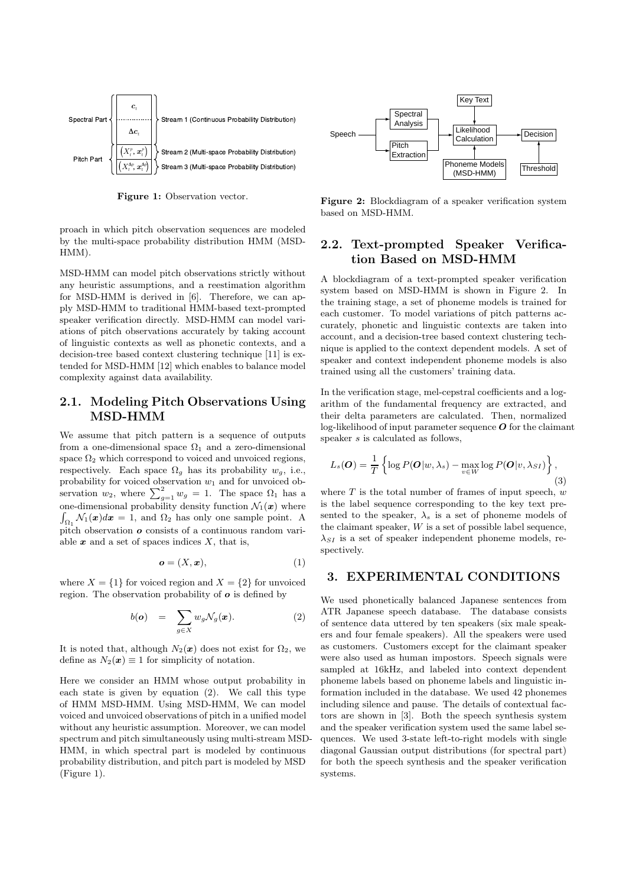

**Figure 1:** Observation vector.

proach in which pitch observation sequences are modeled by the multi-space probability distribution HMM (MSD-HMM).

MSD-HMM can model pitch observations strictly without any heuristic assumptions, and a reestimation algorithm for MSD-HMM is derived in [6]. Therefore, we can apply MSD-HMM to traditional HMM-based text-prompted speaker verification directly. MSD-HMM can model variations of pitch observations accurately by taking account of linguistic contexts as well as phonetic contexts, and a decision-tree based context clustering technique [11] is extended for MSD-HMM [12] which enables to balance model complexity against data availability.

#### **2.1. Modeling Pitch Observations Using MSD-HMM**

We assume that pitch pattern is a sequence of outputs from a one-dimensional space  $\Omega_1$  and a zero-dimensional space  $\Omega_2$  which correspond to voiced and unvoiced regions, respectively. Each space  $\Omega_g$  has its probability  $w_g$ , i.e., probability for voiced observation  $w_1$  and for unvoiced observation  $w_2$ , where  $\sum_{g=1}^{2} w_g = 1$ . The space  $\Omega_1$  has a one-dimensional probability density function  $\mathcal{N}_1(\boldsymbol{x})$  where  $\int_{\Omega_1} \mathcal{N}_1(\boldsymbol{x}) d\boldsymbol{x} = 1$ , and  $\Omega_2$  has only one sample point. A pitch observation  $\boldsymbol{o}$  consists of a continuous random variable  $x$  and a set of spaces indices  $X$ , that is,

$$
o = (X, x), \tag{1}
$$

where  $X = \{1\}$  for voiced region and  $X = \{2\}$  for unvoiced region. The observation probability of  $\boldsymbol{o}$  is defined by

$$
b(\boldsymbol{\mathit{o}}) = \sum_{g \in X} w_g \mathcal{N}_g(\boldsymbol{x}). \tag{2}
$$

It is noted that, although  $N_2(x)$  does not exist for  $\Omega_2$ , we define as  $N_2(x) \equiv 1$  for simplicity of notation.

Here we consider an HMM whose output probability in each state is given by equation (2). We call this type of HMM MSD-HMM. Using MSD-HMM, We can model voiced and unvoiced observations of pitch in a unified model without any heuristic assumption. Moreover, we can model spectrum and pitch simultaneously using multi-stream MSD-HMM, in which spectral part is modeled by continuous probability distribution, and pitch part is modeled by MSD (Figure 1).



**Figure 2:** Blockdiagram of a speaker verification system based on MSD-HMM.

## **2.2. Text-prompted Speaker Verification Based on MSD-HMM**

A blockdiagram of a text-prompted speaker verification system based on MSD-HMM is shown in Figure 2. In the training stage, a set of phoneme models is trained for each customer. To model variations of pitch patterns accurately, phonetic and linguistic contexts are taken into account, and a decision-tree based context clustering technique is applied to the context dependent models. A set of speaker and context independent phoneme models is also trained using all the customers' training data.

In the verification stage, mel-cepstral coefficients and a logarithm of the fundamental frequency are extracted, and their delta parameters are calculated. Then, normalized log-likelihood of input parameter sequence  $O$  for the claimant speaker s is calculated as follows,

$$
L_s(\boldsymbol{O}) = \frac{1}{T} \left\{ \log P(\boldsymbol{O}|w, \lambda_s) - \max_{v \in W} \log P(\boldsymbol{O}|v, \lambda_{SI}) \right\},\tag{3}
$$

where  $T$  is the total number of frames of input speech,  $w$ is the label sequence corresponding to the key text presented to the speaker,  $\lambda_s$  is a set of phoneme models of the claimant speaker,  $W$  is a set of possible label sequence,  $\lambda_{SI}$  is a set of speaker independent phoneme models, respectively.

#### **3. EXPERIMENTAL CONDITIONS**

We used phonetically balanced Japanese sentences from ATR Japanese speech database. The database consists of sentence data uttered by ten speakers (six male speakers and four female speakers). All the speakers were used as customers. Customers except for the claimant speaker were also used as human impostors. Speech signals were sampled at 16kHz, and labeled into context dependent phoneme labels based on phoneme labels and linguistic information included in the database. We used 42 phonemes including silence and pause. The details of contextual factors are shown in [3]. Both the speech synthesis system and the speaker verification system used the same label sequences. We used 3-state left-to-right models with single diagonal Gaussian output distributions (for spectral part) for both the speech synthesis and the speaker verification systems.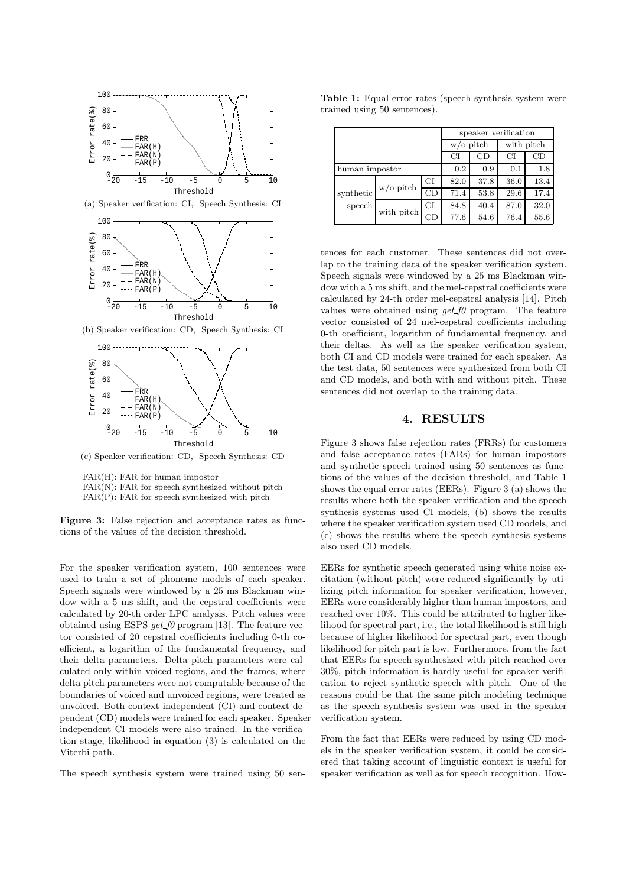

(a) Speaker verification: CI, Speech Synthesis: CI



(b) Speaker verification: CD, Speech Synthesis: CI



(c) Speaker verification: CD, Speech Synthesis: CD

FAR(H): FAR for human impostor  $FAR(N)$ : FAR for speech synthesized without pitch FAR(P): FAR for speech synthesized with pitch

**Figure 3:** False rejection and acceptance rates as functions of the values of the decision threshold.

For the speaker verification system, 100 sentences were used to train a set of phoneme models of each speaker. Speech signals were windowed by a 25 ms Blackman window with a 5 ms shift, and the cepstral coefficients were calculated by 20-th order LPC analysis. Pitch values were obtained using ESPS *get f0* program [13]. The feature vector consisted of 20 cepstral coefficients including 0-th coefficient, a logarithm of the fundamental frequency, and their delta parameters. Delta pitch parameters were calculated only within voiced regions, and the frames, where delta pitch parameters were not computable because of the boundaries of voiced and unvoiced regions, were treated as unvoiced. Both context independent (CI) and context dependent (CD) models were trained for each speaker. Speaker independent CI models were also trained. In the verification stage, likelihood in equation (3) is calculated on the Viterbi path.

The speech synthesis system were trained using 50 sen-

**Table 1:** Equal error rates (speech synthesis system were trained using 50 sentences).

|                             |            |              | speaker verification |            |      |      |  |
|-----------------------------|------------|--------------|----------------------|------------|------|------|--|
|                             |            | $w$ /o pitch |                      | with pitch |      |      |  |
|                             |            |              | СI                   | CD         | СI   | CD   |  |
| human impostor              |            |              | 0.2                  | 0.9        | 0.1  | 1.8  |  |
| synthetic<br>${\rm speech}$ | w/o pitch  | CI           | 82.0                 | 37.8       | 36.0 | 13.4 |  |
|                             |            | CD           | 71.4                 | 53.8       | 29.6 | 17.4 |  |
|                             | with pitch | CI           | 84.8                 | 40.4       | 87.0 | 32.0 |  |
|                             |            | СĐ           | 77.6                 | 54.6       | 76.4 | 55.6 |  |

tences for each customer. These sentences did not overlap to the training data of the speaker verification system. Speech signals were windowed by a 25 ms Blackman window with a 5 ms shift, and the mel-cepstral coefficients were calculated by 24-th order mel-cepstral analysis [14]. Pitch values were obtained using *get f0* program. The feature vector consisted of 24 mel-cepstral coefficients including 0-th coefficient, logarithm of fundamental frequency, and their deltas. As well as the speaker verification system, both CI and CD models were trained for each speaker. As the test data, 50 sentences were synthesized from both CI and CD models, and both with and without pitch. These sentences did not overlap to the training data.

#### **4. RESULTS**

Figure 3 shows false rejection rates (FRRs) for customers and false acceptance rates (FARs) for human impostors and synthetic speech trained using 50 sentences as functions of the values of the decision threshold, and Table 1 shows the equal error rates (EERs). Figure 3 (a) shows the results where both the speaker verification and the speech synthesis systems used CI models, (b) shows the results where the speaker verification system used CD models, and (c) shows the results where the speech synthesis systems also used CD models.

EERs for synthetic speech generated using white noise excitation (without pitch) were reduced significantly by utilizing pitch information for speaker verification, however, EERs were considerably higher than human impostors, and reached over 10%. This could be attributed to higher likelihood for spectral part, i.e., the total likelihood is still high because of higher likelihood for spectral part, even though likelihood for pitch part is low. Furthermore, from the fact that EERs for speech synthesized with pitch reached over 30%, pitch information is hardly useful for speaker verification to reject synthetic speech with pitch. One of the reasons could be that the same pitch modeling technique as the speech synthesis system was used in the speaker verification system.

From the fact that EERs were reduced by using CD models in the speaker verification system, it could be considered that taking account of linguistic context is useful for speaker verification as well as for speech recognition. How-